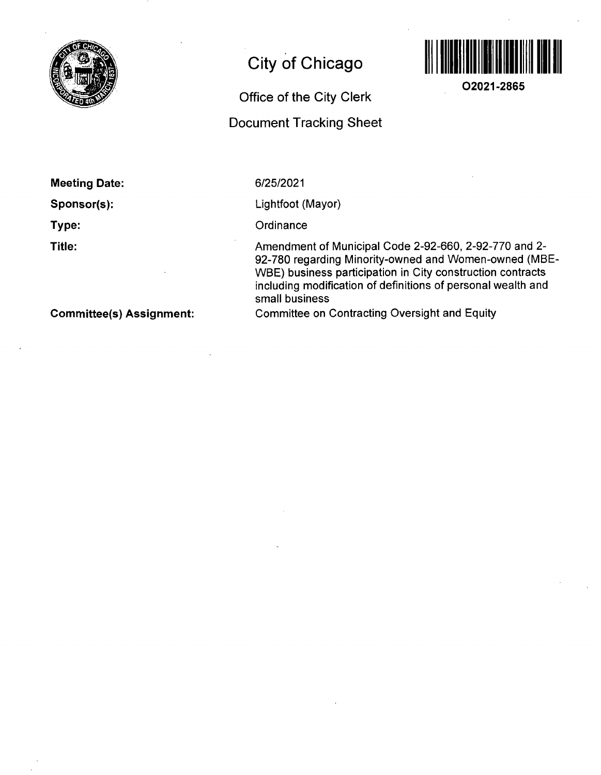

# **City of Chicago**



**O2021-2865** 

## **Office of the City Clerk**

# **Document Tracking Sheet**

**Meeting Date:** 

**Sponsor(s):** 

**Type:** 

**Title:** 

Lightfoot (Mayor)

6/25/2021

**Ordinance** 

Amendment of Municipal Code 2-92-660, 2-92-770 and 2- 92-780 regarding Minority-owned and Women-owned (MBE-WBE) business participation in City construction contracts including modification of definitions of personal wealth and small business

Committee on Contracting Oversight and Equity

**Committee(s) Assignment:**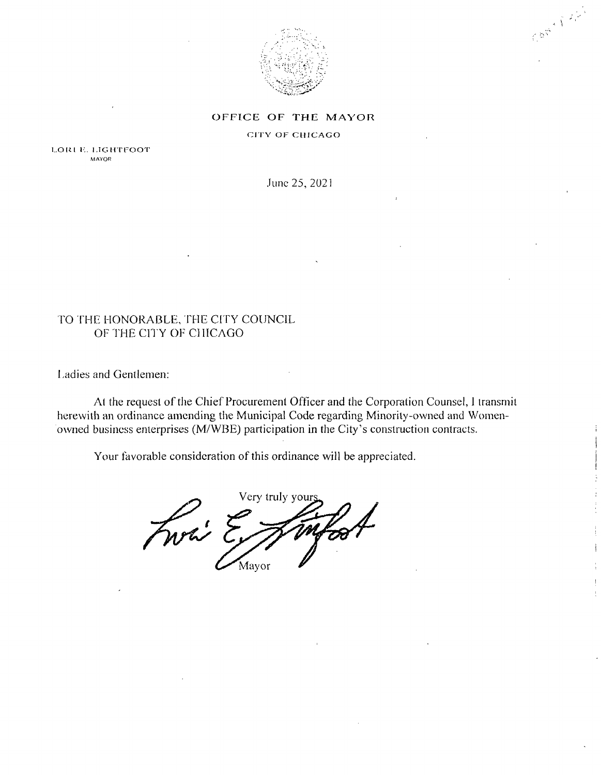

Contract of the

### OFFICE OF THE MAYOR

CITY OF CHICAGO

LORI E. LIGHTFOOT MAYOR

June 25,2021

## TO fHE HONORABLE, THE CITY COUNCIL OF THE CITY OF CHICAGO

Ladies and Gentlemen:

Al the request of the Chief Procurement Officer and the Corporation Counsel, I transmit herewith an ordinance amending the Municipal Code regarding Minority-owned and Womenowned business enterprises (M/WBE) participation in the City's construction contracts.

Your favorable consideration of this ordinance will be appreciated.

Very truly your Fwai Mayor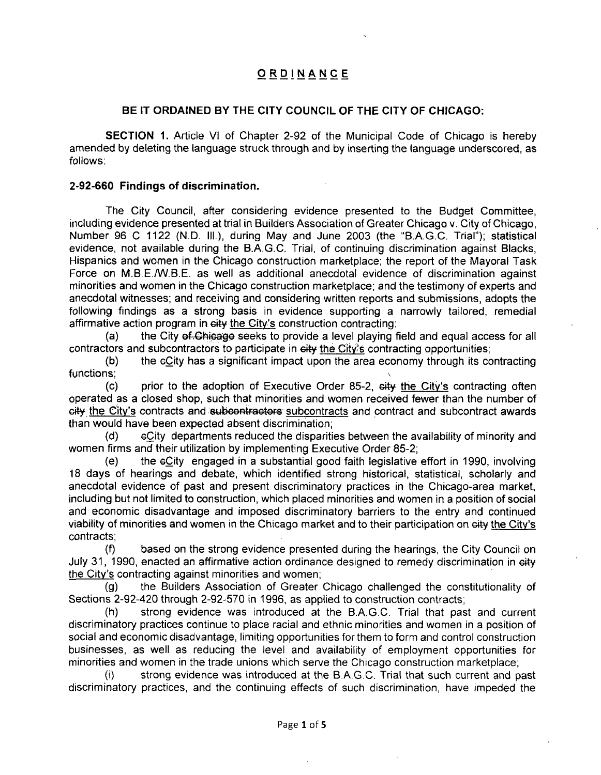## **ORDINANC E**

## **BE IT ORDAINED BY THE CITY COUNCIL OF THE CITY OF CHICAGO:**

SECTION 1. Article VI of Chapter 2-92 of the Municipal Code of Chicago is hereby amended by deleting the language struck through and by inserting the language underscored, as follows:

### **2-92-660 Findings of discrimination.**

The City Council, after considering evidence presented to the Budget Committee, including evidence presented at trial in Builders Association of Greater Chicago v. City of Chicago, Number 96 C 1122 (N.D. HI.), during May and June 2003 (the "B.A.G.C. Trial"); statistical evidence, not available during the B.A.G.C. Trial, of continuing discrimination against Blacks, Hispanics and women in the Chicago construction marketplace; the report of the Mayoral Task Force on M.B.E./W.B.E. as well as additional anecdotal evidence of discrimination against minorities and women in the Chicago construction marketplace; and the testimony of experts and anecdotal witnesses; and receiving and considering written reports and submissions, adopts the following findings as a strong basis in evidence supporting a narrowly tailored, remedial affirmative action program in city the City's construction contracting:

(a) the City of Chicago seeks to provide a level playing field and equal access for all contractors and subcontractors to participate in eity the City's contracting opportunities;

(b) the cCity has a significant impact upon the area economy through its contracting functions;

(c) prior to the adoption of Executive Order 85-2, eity the City's contracting often operated as a closed shop, such that minorities and women received fewer than the number of city the City's contracts and subcontractors subcontracts and contract and subcontract awards than would have been expected absent discrimination;

(d) cCity departments reduced the disparities between the availability of minority and women firms and their utilization by implementing Executive Order 85-2;

(e) the eCity engaged in a substantial good faith legislative effort in 1990, involving 18 days of hearings and debate, which identified strong historical, statistical, scholarly and anecdotal evidence of past and present discriminatory practices in the Chicago-area market, including but not limited to construction, which placed minorities and women in a position of social and economic disadvantage and imposed discriminatory barriers to the entry and continued viability of minorities and women in the Chicago market and to their participation on city the City's contracts;

(f) based on the strong evidence presented during the hearings, the City Council on July 31, 1990, enacted an affirmative action ordinance designed to remedy discrimination in eity the City's contracting against minorities and women;

(g) the Builders Association of Greater Chicago challenged the constitutionality of Sections 2-92-420 through 2-92-570 in 1996, as applied to construction contracts;

(h) strong evidence was introduced at the B.A.G.C. Trial that past and current discriminatory practices continue to place racial and ethnic minorities and women in a position of social and economic disadvantage, limiting opportunities for them to form and control construction businesses, as well as reducing the level and availability of employment opportunities for minorities and women in the trade unions which serve the Chicago construction marketplace;

strong evidence was introduced at the B.A.G.C. Trial that such current and past discriminatory practices, and the continuing effects of such discrimination, have impeded the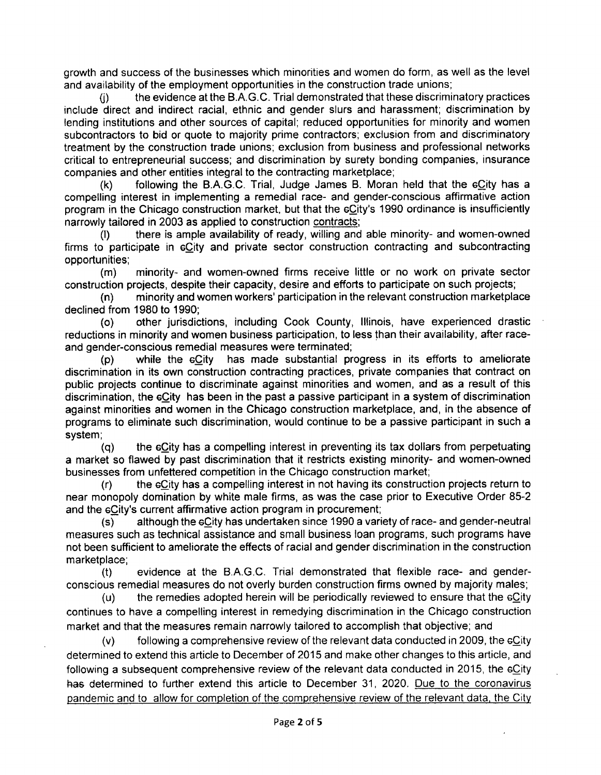growth and success of the businesses which minorities and women do form, as well as the level and availability of the employment opportunities in the construction trade unions;

the evidence at the B.A.G.C. Trial demonstrated that these discriminatory practices include direct and indirect racial, ethnic and gender slurs and harassment; discrimination by lending institutions and other sources of capital; reduced opportunities for minority and women subcontractors to bid or quote to majority prime contractors; exclusion from and discriminatory treatment by the construction trade unions; exclusion from business and professional networks critical to entrepreneurial success; and discrimination by surety bonding companies, insurance companies and other entities integral to the contracting marketplace;

(k) following the B.A.G.C. Trial, Judge James B. Moran held that the  $6C$ ity has a compelling interest in implementing a remedial race- and gender-conscious affirmative action program in the Chicago construction market, but that the  $eC$ ity's 1990 ordinance is insufficiently narrowly tailored in 2003 as applied to construction contracts:

(I) there is ample availability of ready, willing and able minority- and women-owned firms to participate in eCity and private sector construction contracting and subcontracting opportunities;

(m) minority- and women-owned firms receive little or no work on private sector construction projects, despite their capacity, desire and efforts to participate on such projects;

(n) minority and women workers' participation in the relevant construction marketplace declined from 1980 to 1990;

(o) other jurisdictions, including Cook County, Illinois, have experienced drastic reductions in minority and women business participation, to less than their availability, after raceand gender-conscious remedial measures were terminated;

(p) while the eCity has made substantial progress in its efforts to ameliorate discrimination in its own construction contracting practices, private companies that contract on public projects continue to discriminate against minorities and women, and as a result of this discrimination, the eCity has been in the past a passive participant in a system of discrimination against minorities and women in the Chicago construction marketplace, and, in the absence of programs to eliminate such discrimination, would continue to be a passive participant in such a system;

(q) the eCity has a compelling interest in preventing its tax dollars from perpetuating a market so flawed by past discrimination that it restricts existing minority- and women-owned businesses from unfettered competition in the Chicago construction market;

(r) the eCity has a compelling interest in not having its construction projects return to near monopoly domination by white male firms, as was the case prior to Executive Order 85-2 and the eCity's current affirmative action program in procurement;

(s) although the eCity has undertaken since 1990 a variety of race- and gender-neutral measures such as technical assistance and small business loan programs, such programs have not been sufficient to ameliorate the effects of racial and gender discrimination in the construction marketplace;

(t) evidence at the B.A.G.C. Trial demonstrated that flexible race- and genderconscious remedial measures do not overly burden construction firms owned by majority males;

(u) the remedies adopted herein will be periodically reviewed to ensure that the  $eC$ ity continues to have a compelling interest in remedying discrimination in the Chicago construction market and that the measures remain narrowly tailored to accomplish that objective; and

(v) following a comprehensive review ofthe relevant data conducted in 2009, the eCity determined to extend this article to December of 2015 and make other changes to this article, and following a subsequent comprehensive review of the relevant data conducted in 2015, the eCity has determined to further extend this article to December 31, 2020. Due to the coronavirus pandemic and to allow for completion of the comprehensive review of the relevant data, the Citv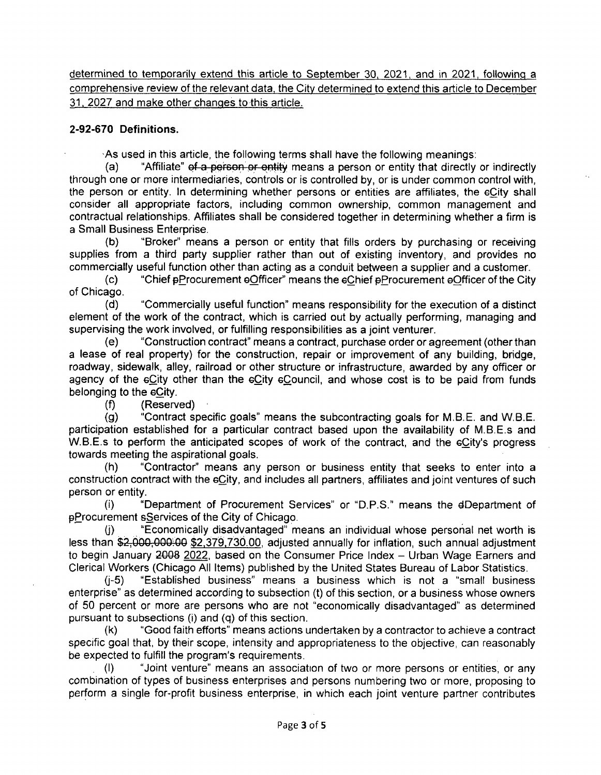determined to temporarily extend this article to September 30, 2021, and in 2021, following a comprehensive review of the relevant data, the City determined to extend this article to December 31, 2027 and make other changes to this article.

## **2-92-670 Definitions,**

As used in this article, the following terms shall have the following meanings:

(a) "Affiliate" of a person or entity means a person or entity that directly or indirectly through one or more intermediaries, controls or is controlled by, or is under common control with, the person or entity. In determining whether persons or entities are affiliates, the eCity shall consider all appropriate factors, including common ownership, common management and contractual relationships. Affiliates shall be considered together in determining whether a firm is a Small Business Enterprise.

(b) "Broker" means a person or entity that fills orders by purchasing or receiving supplies from a third party supplier rather than out of existing inventory, and provides no commercially useful function other than acting as a conduit between a supplier and a customer.

(c) "Chief pProcurement eOfficer" means the eChief pProcurement eOfficer of the City of Chicago.

(d) "Commercially useful function" means responsibility for the execution of a distinct element of the work of the contract, which is carried out by actually performing, managing and supervising the work involved, or fulfilling responsibilities as a joint venturer.

(e) "Construction contract" means a contract, purchase order or agreement (other than a lease of real property) for the construction, repair or improvement of any building, bridge, roadway, sidewalk, alley, railroad or other structure or infrastructure, awarded by any officer or agency of the eCity other than the eCity eCouncil, and whose cost is to be paid from funds belonging to the eCity.

(f) (Reserved)

(g) "Contract specific goals" means the subcontracting goals for M.B.E. and W.B.E. participation established for a particular contract based upon the availability of M.B.E.s and W.B.E.s to perform the anticipated scopes of work of the contract, and the eCity's progress towards meeting the aspirational goals.

(h) "Contractor" means any person or business entity that seeks to enter into a construction contract with the eCity, and includes all partners, affiliates and joint ventures of such person or entity.

(i) "Department of Procurement Services" or "D.P.S." means the dDepartment of pProcurement sServices of the City of Chicago.

"Economically disadvantaged" means an individual whose personal net worth is less than \$2,000,000:00 \$2.379.730.00. adjusted annually for inflation, such annual adjustment to begin January 2008 2022, based on the Consumer Price Index - Urban Wage Earners and Clerical Workers (Chicago All Items) published by the United States Bureau of Labor Statistics.

(j-5) "Established business" means a business which is not a "small business enterprise" as determined according to subsection (t) of this section, or a business whose owners of 50 percent or more are persons who are not "economically disadvantaged" as determined pursuant to subsections (i) and  $(q)$  of this section.

(k) "Good faith efforts" means actions undertaken by a contractor to achieve a contract specific goal that, by their scope, intensity and appropriateness to the objective, can reasonably be expected to fulfill the program's requirements.

(1) "Joint venture" means an association of two or more persons or entities, or any combination of types of business enterprises and persons numbering two or more, proposing to perform a single for-profit business enterprise, in which each joint venture partner contributes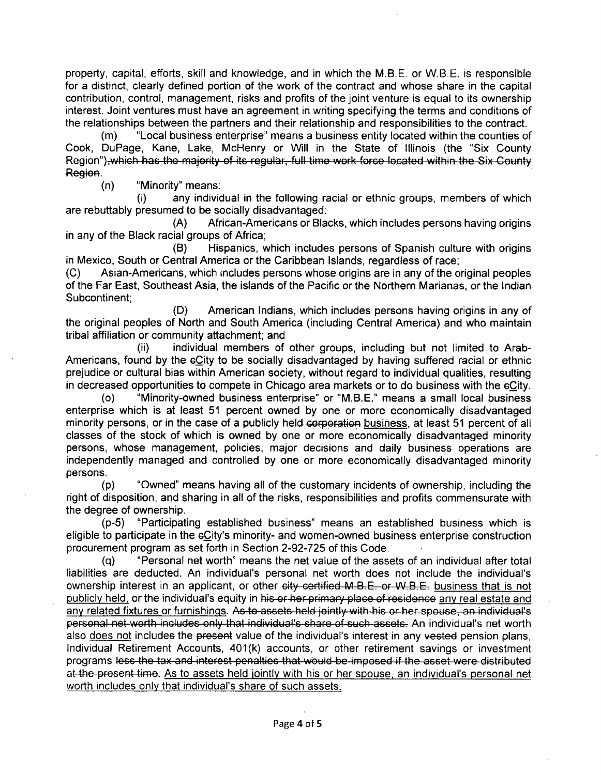property, capital, efforts, skill and knowledge, and in which the M.B.E. or W.B.E. is responsible for a distinct, clearly defined portion of the work of the contract and whose share in the capital contribution, control, management, risks and profits of the joint venture is equal to its ownership interest. Joint ventures must have an agreement in writing specifying the terms and conditions of the relationships between the partners and their relationship and responsibilities to the contract.

(m) "Local business enterprise" means a business entity located within the counties of Cook, DuPage, Kane, Lake, McHenry or Will in the State of Illinois (the "Six County Region") which has the majority of its regular, full time work force located within the Six County \ \^^\\J l I f I'TTI I TTCTO I I ! C r l iCIJ^-FI llj f V/1 TtO I V» y tITd l J IXii f li t I't ^ nXJ l T\ I.Vl w w tV/.t/LItCTW .wV II I II I f .11 IL^ \\_lr A XytlCJrIt T Region.<br>(n)

"Minority" means:<br>(i) any individ

any individual in the following racial or ethnic groups, members of which are rebuttably presumed to be socially disadvantaged:<br>(A) African-Americans or Black

African-Americans or Blacks, which includes persons having origins in any of the Black racial groups of Africa;<br>(B) Hispanics. w

Hispanics, which includes persons of Spanish culture with origins in Mexico, South or Central America or the Caribbean Islands, regardless of race;<br>(C) Asian-Americans, which includes persons whose origins are in any of the o

Asian-Americans, which includes persons whose origins are in any of the original peoples of the Far East, Southeast Asia, the islands of the Pacific or the Northern Marianas, or the Indian Subcontinent;

(D) American Indians, which includes persons having origins in any of the original peoples of North and South America (including Central America) and who maintain tribal affiliation or community attachment; and

individual members of other groups, including but not limited to Arab-Americans, found by the  $6C$ ity to be socially disadvantaged by having suffered racial or ethnic prejudice or cultural bias within American society, without regard to individual qualities, resulting in decreased opportunities to compete in Chicago area markets or to do business with the eCity.

(o) "Minority-owned business enterprise" or "M.B.E." means a small local business enterprise which is at least 51 percent owned by one or more economically disadvantaged minority persons, or in the case of a publicly held corporation business, at least 51 percent of all classes of the stock of which is owned by one or more economically disadvantaged minority persons, whose management, policies, major decisions and daily business operations are independently managed and controlled by one or more economically disadvantaged minority persons.

(p) "Owned" means having all of the customary incidents of ownership, including the right of disposition, and sharing in all of the risks, responsibilities and profits commensurate with the degree of ownership.

(p-5) "Participating established business" means an established business which is eligible to participate in the eCity's minority- and women-owned business enterprise construction procurement program as set forth in Section 2-92-725 of this Code.

(q) "Personal net worth" means the net value of the assets of an individual after total liabilities are deducted. An individual's personal net worth does not include the individual's ownership interest in an applicant, or other city certified M.B.E. or W.B.E. business that is not publicly held, or the individual's equity in his-or-her primary-place-of-residence any real estate and any related fixtures or furnishings. As to assets held jointly with his or her spouse, an individual's personal net worth includes only that individual's share of such assets. An individual's net worth also does not includes the present value of the individual's interest in any vested pension plans. Individual Retirement Accounts, 401(k) accounts, or other retirement savings or investment programs less the tax and interest penalties that-would be imposed if the asset were distributed at-4he-present time. As to assets held jointly with his or her spouse, an individual's personal net worth includes only that individual's share of such assets.